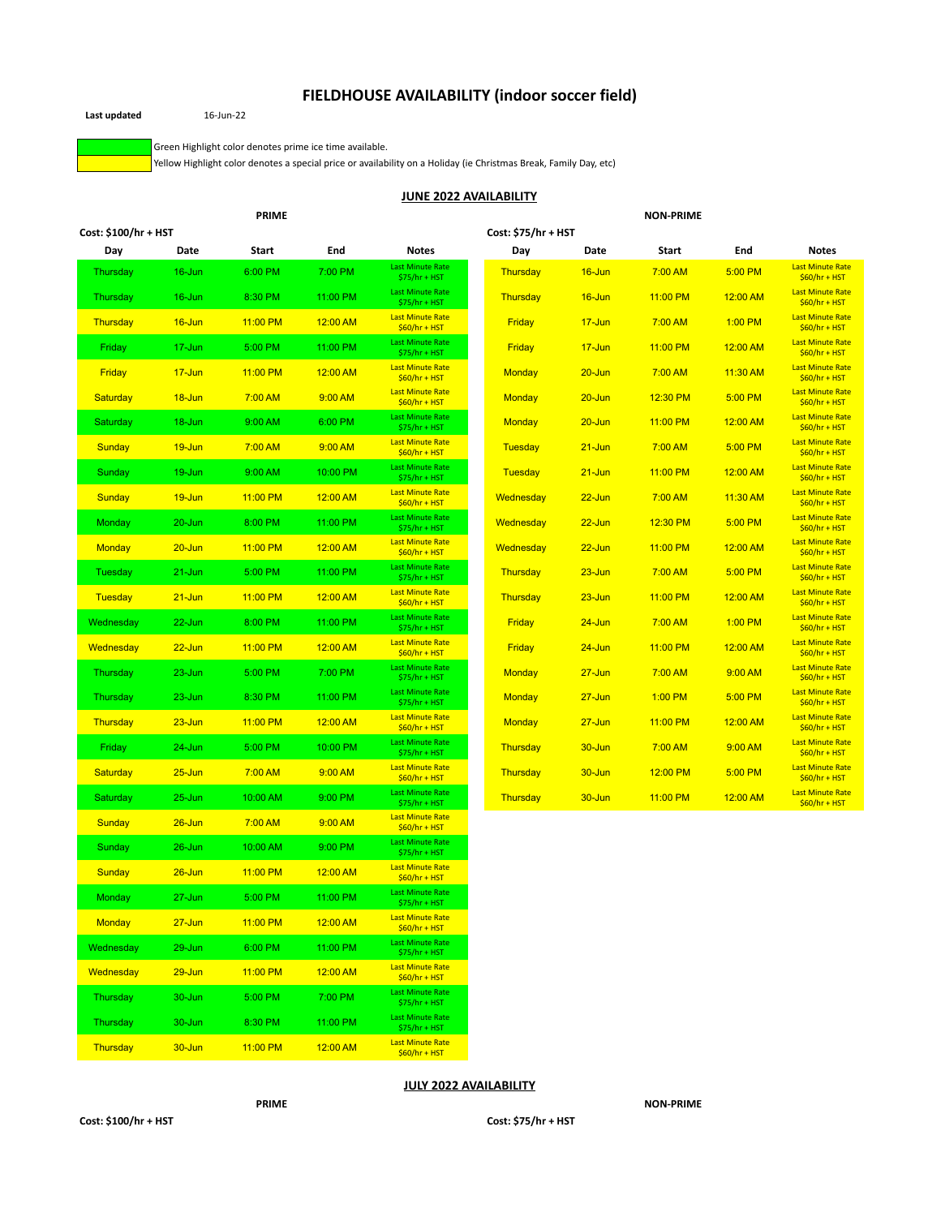## **FIELDHOUSE AVAILABILITY (indoor soccer field)**

**Last updated** 16-Jun-22

Green Highlight color denotes prime ice time available.

Yellow Highlight color denotes a special price or availability on a Holiday (ie Christmas Break, Family Day, etc)

#### **JUNE 2022 AVAILABILITY**

|                      |            | <b>PRIME</b> |          |                                           |                     |            | <b>NON-PRIME</b> |           |                                           |
|----------------------|------------|--------------|----------|-------------------------------------------|---------------------|------------|------------------|-----------|-------------------------------------------|
| Cost: \$100/hr + HST |            |              |          |                                           | Cost: \$75/hr + HST |            |                  |           |                                           |
| Day                  | Date       | <b>Start</b> | End      | <b>Notes</b>                              | Day                 | Date       | Start            | End       | <b>Notes</b>                              |
| <b>Thursday</b>      | 16-Jun     | 6:00 PM      | 7:00 PM  | <b>Last Minute Rate</b><br>$$75/hr + HST$ | Thursday            | 16-Jun     | 7:00 AM          | 5:00 PM   | <b>Last Minute Rate</b><br>$$60/hr + HST$ |
| Thursday             | $16$ -Jun  | 8:30 PM      | 11:00 PM | <b>Last Minute Rate</b><br>$$75/hr + HST$ | Thursday            | $16$ -Jun  | 11:00 PM         | 12:00 AM  | <b>Last Minute Rate</b><br>$$60/hr + HST$ |
| Thursday             | 16-Jun     | 11:00 PM     | 12:00 AM | <b>Last Minute Rate</b><br>$$60/hr + HST$ | Friday              | $17 - Jun$ | 7:00 AM          | $1:00$ PM | <b>Last Minute Rate</b><br>$$60/hr + HST$ |
| Friday               | 17-Jun     | 5:00 PM      | 11:00 PM | <b>Last Minute Rate</b><br>$$75/hr + HST$ | Friday              | $17 - Jun$ | 11:00 PM         | 12:00 AM  | <b>Last Minute Rate</b><br>$$60/hr + HST$ |
| Friday               | $17 - Jun$ | 11:00 PM     | 12:00 AM | <b>Last Minute Rate</b><br>$$60/hr + HST$ | Monday              | $20 - Jun$ | 7:00 AM          | 11:30 AM  | <b>Last Minute Rate</b><br>$$60/hr + HST$ |
| Saturday             | 18-Jun     | 7:00 AM      | 9:00 AM  | <b>Last Minute Rate</b><br>$$60/hr + HST$ | Monday              | $20 - Jun$ | 12:30 PM         | 5:00 PM   | <b>Last Minute Rate</b><br>$$60/hr + HST$ |
| Saturday             | 18-Jun     | 9:00 AM      | 6:00 PM  | <b>Last Minute Rate</b><br>$$75/hr + HST$ | Monday              | $20 - Jun$ | 11:00 PM         | 12:00 AM  | <b>Last Minute Rate</b><br>$$60/hr + HST$ |
| Sunday               | 19-Jun     | 7:00 AM      | 9:00 AM  | <b>Last Minute Rate</b><br>$$60/hr + HST$ | Tuesday             | $21 - Jun$ | 7:00 AM          | 5:00 PM   | <b>Last Minute Rate</b><br>$$60/hr + HST$ |
| Sunday               | 19-Jun     | 9:00 AM      | 10:00 PM | <b>Last Minute Rate</b><br>$$75/hr + HST$ | Tuesday             | $21 - Jun$ | 11:00 PM         | 12:00 AM  | <b>Last Minute Rate</b><br>$$60/hr + HST$ |
| Sunday               | 19-Jun     | 11:00 PM     | 12:00 AM | <b>Last Minute Rate</b><br>$$60/hr + HST$ | Wednesday           | $22 - Jun$ | 7:00 AM          | 11:30 AM  | <b>Last Minute Rate</b><br>$$60/hr + HST$ |
| Monday               | $20 - Jun$ | 8:00 PM      | 11:00 PM | <b>Last Minute Rate</b><br>$$75/hr + HST$ | Wednesday           | $22 - Jun$ | 12:30 PM         | 5:00 PM   | <b>Last Minute Rate</b><br>$$60/hr + HST$ |
| <b>Monday</b>        | $20 - Jun$ | 11:00 PM     | 12:00 AM | <b>Last Minute Rate</b><br>$$60/hr + HST$ | Wednesday           | $22 - Jun$ | 11:00 PM         | 12:00 AM  | <b>Last Minute Rate</b><br>$$60/hr + HST$ |
| Tuesday              | 21-Jun     | 5:00 PM      | 11:00 PM | <b>Last Minute Rate</b><br>$$75/hr + HST$ | Thursday            | $23 - Jun$ | 7:00 AM          | 5:00 PM   | <b>Last Minute Rate</b><br>$$60/hr + HST$ |
| <b>Tuesday</b>       | $21 - Jun$ | 11:00 PM     | 12:00 AM | <b>Last Minute Rate</b><br>$$60/hr + HST$ | Thursday            | $23 - Jun$ | 11:00 PM         | 12:00 AM  | <b>Last Minute Rate</b><br>$$60/hr + HST$ |
| Wednesday            | 22-Jun     | 8:00 PM      | 11:00 PM | <b>Last Minute Rate</b><br>$$75/hr + HST$ | Friday              | $24 - Jun$ | 7:00 AM          | $1:00$ PM | <b>Last Minute Rate</b><br>$$60/hr + HST$ |
| Wednesday            | $22 - Jun$ | 11:00 PM     | 12:00 AM | <b>Last Minute Rate</b><br>$$60/hr + HST$ | Friday              | $24 - Jun$ | 11:00 PM         | 12:00 AM  | <b>Last Minute Rate</b><br>$$60/hr + HST$ |
| Thursday             | $23 - Jun$ | 5:00 PM      | 7:00 PM  | <b>Last Minute Rate</b><br>$$75/hr + HST$ | Monday              | $27 - Jun$ | 7:00 AM          | 9:00 AM   | <b>Last Minute Rate</b><br>$$60/hr + HST$ |
| Thursday             | $23 - Jun$ | 8:30 PM      | 11:00 PM | <b>Last Minute Rate</b><br>$$75/hr + HST$ | Monday              | $27 - Jun$ | $1:00$ PM        | 5:00 PM   | <b>Last Minute Rate</b><br>$$60/hr + HST$ |
| Thursday             | $23 - Jun$ | 11:00 PM     | 12:00 AM | <b>Last Minute Rate</b><br>$$60/hr + HST$ | Monday              | $27 - Jun$ | 11:00 PM         | 12:00 AM  | <b>Last Minute Rate</b><br>$$60/hr + HST$ |
| Friday               | 24-Jun     | 5:00 PM      | 10:00 PM | <b>Last Minute Rate</b><br>$$75/hr + HST$ | Thursday            | 30-Jun     | $7:00$ AM        | 9:00 AM   | <b>Last Minute Rate</b><br>$$60/hr + HST$ |
| Saturday             | $25 - Jun$ | 7:00 AM      | 9:00 AM  | <b>Last Minute Rate</b><br>$$60/hr + HST$ | Thursday            | $30 - Jun$ | 12:00 PM         | 5:00 PM   | <b>Last Minute Rate</b><br>$$60/hr + HST$ |
| Saturday             | $25 - Jun$ | 10:00 AM     | 9:00 PM  | <b>Last Minute Rate</b><br>$$75/hr + HST$ | Thursday            | $30 - Jun$ | 11:00 PM         | 12:00 AM  | <b>Last Minute Rate</b><br>$$60/hr + HST$ |
| Sunday               | $26 - Jun$ | 7:00 AM      | 9:00 AM  | <b>Last Minute Rate</b><br>$$60/hr + HST$ |                     |            |                  |           |                                           |
| Sunday               | $26 - Jun$ | 10:00 AM     | 9:00 PM  | <b>Last Minute Rate</b><br>$$75/hr + HST$ |                     |            |                  |           |                                           |
| Sunday               | $26 - Jun$ | 11:00 PM     | 12:00 AM | <b>Last Minute Rate</b><br>$$60/hr + HST$ |                     |            |                  |           |                                           |
| <b>Monday</b>        | 27-Jun     | 5:00 PM      | 11:00 PM | <b>Last Minute Rate</b><br>$$75/hr + HST$ |                     |            |                  |           |                                           |
| <b>Monday</b>        | $27 - Jun$ | 11:00 PM     | 12:00 AM | <b>Last Minute Rate</b><br>$$60/hr + HST$ |                     |            |                  |           |                                           |
| Wednesday            | 29-Jun     | 6:00 PM      | 11:00 PM | <b>Last Minute Rate</b><br>$$75/hr + HST$ |                     |            |                  |           |                                           |
| Wednesday            | $29 - Jun$ | 11:00 PM     | 12:00 AM | <b>Last Minute Rate</b><br>$$60/hr + HST$ |                     |            |                  |           |                                           |
| Thursday             | 30-Jun     | 5:00 PM      | 7:00 PM  | <b>Last Minute Rate</b><br>$$75/hr + HST$ |                     |            |                  |           |                                           |
| Thursday             | 30-Jun     | 8:30 PM      | 11:00 PM | <b>Last Minute Rate</b><br>$$75/hr + HST$ |                     |            |                  |           |                                           |

#### **JULY 2022 AVAILABILITY**

Thursday 30-Jun 11:00 PM 12:00 AM Last Minute Rate \$60/hr + HST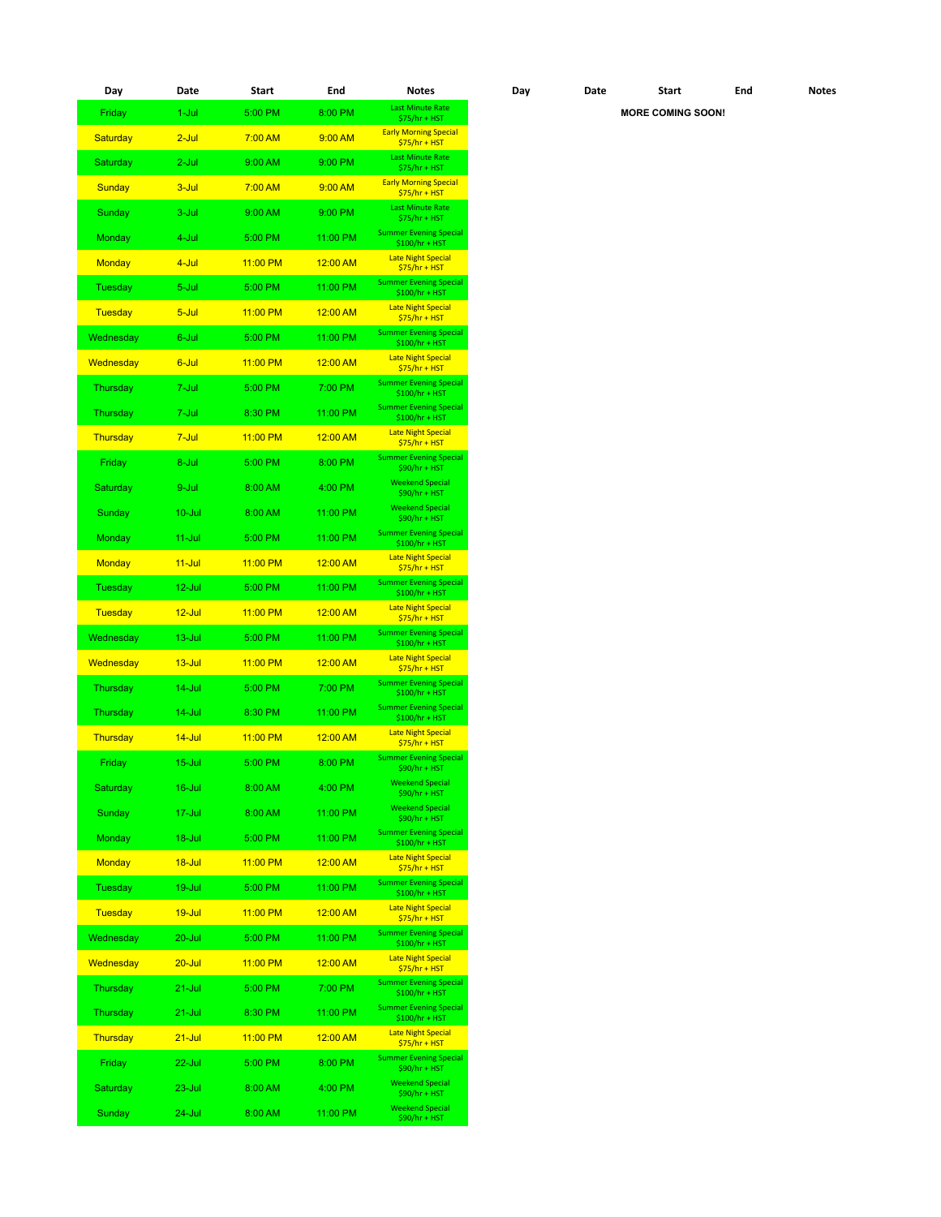| Day             | Date       | Start    | End      | <b>Notes</b>                                     | Day | Date | <b>Start</b>             | End | <b>Notes</b> |
|-----------------|------------|----------|----------|--------------------------------------------------|-----|------|--------------------------|-----|--------------|
| Friday          | 1-Jul      | 5:00 PM  | 8:00 PM  | <b>Last Minute Rate</b><br>\$75/hr + HST         |     |      | <b>MORE COMING SOON!</b> |     |              |
| Saturday        | $2$ -Jul   | 7:00 AM  | 9:00 AM  | <b>Early Morning Special</b><br>$$75/hr + HST$   |     |      |                          |     |              |
| Saturday        | $2$ -Jul   | 9:00 AM  | 9:00 PM  | <b>Last Minute Rate</b><br>$$75/hr + HST$        |     |      |                          |     |              |
| Sunday          | $3 -$ Jul  | 7:00 AM  | 9:00 AM  | <b>Early Morning Special</b><br>$$75/hr + HST$   |     |      |                          |     |              |
| Sunday          | 3-Jul      | 9:00 AM  | 9:00 PM  | <b>Last Minute Rate</b><br>$$75/hr + HST$        |     |      |                          |     |              |
| <b>Monday</b>   | 4-Jul      | 5:00 PM  | 11:00 PM | <b>Summer Evening Special</b><br>$$100/hr + HST$ |     |      |                          |     |              |
| <b>Monday</b>   | 4-Jul      | 11:00 PM | 12:00 AM | <b>Late Night Special</b><br>$$75/hr + HST$      |     |      |                          |     |              |
| Tuesday         | 5-Jul      | 5:00 PM  | 11:00 PM | <b>Summer Evening Special</b><br>$$100/hr + HST$ |     |      |                          |     |              |
| Tuesday         | $5 -$ Jul  | 11:00 PM | 12:00 AM | <b>Late Night Special</b><br>$$75/hr + HST$      |     |      |                          |     |              |
| Wednesday       | 6-Jul      | 5:00 PM  | 11:00 PM | <b>Summer Evening Special</b><br>$$100/hr + HST$ |     |      |                          |     |              |
| Wednesday       | 6-Jul      | 11:00 PM | 12:00 AM | <b>Late Night Special</b><br>$$75/hr + HST$      |     |      |                          |     |              |
| <b>Thursday</b> | 7-Jul      | 5:00 PM  | 7:00 PM  | <b>Summer Evening Special</b><br>$$100/hr + HST$ |     |      |                          |     |              |
| Thursday        | 7-Jul      | 8:30 PM  | 11:00 PM | <b>Summer Evening Special</b><br>$$100/hr + HST$ |     |      |                          |     |              |
| Thursday        | 7-Jul      | 11:00 PM | 12:00 AM | <b>Late Night Special</b><br>$$75/hr + HST$      |     |      |                          |     |              |
| Friday          | 8-Jul      | 5:00 PM  | 8:00 PM  | <b>Summer Evening Special</b><br>$$90/hr + HST$  |     |      |                          |     |              |
| Saturday        | 9-Jul      | 8:00 AM  | 4:00 PM  | <b>Weekend Special</b><br>$$90/hr + HST$         |     |      |                          |     |              |
| Sunday          | $10 -$ Jul | 8:00 AM  | 11:00 PM | <b>Weekend Special</b><br>\$90/hr + HST          |     |      |                          |     |              |
| Monday          | $11$ -Jul  | 5:00 PM  | 11:00 PM | <b>Summer Evening Special</b><br>$$100/hr + HST$ |     |      |                          |     |              |
| <b>Monday</b>   | $11 -$ Jul | 11:00 PM | 12:00 AM | <b>Late Night Special</b><br>$$75/hr + HST$      |     |      |                          |     |              |
| Tuesday         | 12-Jul     | 5:00 PM  | 11:00 PM | <b>Summer Evening Special</b><br>$$100/hr + HST$ |     |      |                          |     |              |
| Tuesday         | $12$ -Jul  | 11:00 PM | 12:00 AM | <b>Late Night Special</b><br>$$75/hr + HST$      |     |      |                          |     |              |
| Wednesday       | $13 -$ Jul | 5:00 PM  | 11:00 PM | <b>Summer Evening Special</b><br>$$100/hr + HST$ |     |      |                          |     |              |
| Wednesday       | $13 -$ Jul | 11:00 PM | 12:00 AM | <b>Late Night Special</b><br>$$75/hr + HST$      |     |      |                          |     |              |
| Thursday        | $14$ -Jul  | 5:00 PM  | 7:00 PM  | <b>Summer Evening Special</b><br>$$100/hr + HST$ |     |      |                          |     |              |
| Thursday        | 14-Jul     | 8:30 PM  | 11:00 PM | <b>Summer Evening Special</b><br>$$100/hr + HST$ |     |      |                          |     |              |
| Thursday        | $14 -$ Jul | 11:00 PM | 12:00 AM | <b>Late Night Special</b><br>$$75/hr + HST$      |     |      |                          |     |              |
| Friday          | $15 -$ Jul | 5:00 PM  | 8:00 PM  | <b>Summer Evening Special</b><br>$$90/hr + HST$  |     |      |                          |     |              |
| Saturday        | $16$ -Jul  | 8:00 AM  | 4:00 PM  | <b>Weekend Special</b><br>$$90/hr + HST$         |     |      |                          |     |              |
| Sunday          | 17-Jul     | 8:00 AM  | 11:00 PM | <b>Weekend Special</b><br>\$90/hr + HST          |     |      |                          |     |              |
| Monday          | 18-Jul     | 5:00 PM  | 11:00 PM | <b>Summer Evening Special</b><br>$$100/hr + HST$ |     |      |                          |     |              |
| <b>Monday</b>   | $18 -$ Jul | 11:00 PM | 12:00 AM | <b>Late Night Special</b><br>$$75/hr + HST$      |     |      |                          |     |              |
| Tuesday         | 19-Jul     | 5:00 PM  | 11:00 PM | <b>Summer Evening Special</b><br>$$100/hr + HST$ |     |      |                          |     |              |
| <b>Tuesday</b>  | $19 -$ Jul | 11:00 PM | 12:00 AM | <b>Late Night Special</b><br>$$75/hr + HST$      |     |      |                          |     |              |
| Wednesday       | 20-Jul     | 5:00 PM  | 11:00 PM | <b>Summer Evening Special</b><br>$$100/hr + HST$ |     |      |                          |     |              |
| Wednesday       | $20 -$ Jul | 11:00 PM | 12:00 AM | <b>Late Night Special</b><br>$$75/hr + HST$      |     |      |                          |     |              |
| Thursday        | 21-Jul     | 5:00 PM  | 7:00 PM  | <b>Summer Evening Special</b><br>$$100/hr + HST$ |     |      |                          |     |              |
| Thursday        | 21-Jul     | 8:30 PM  | 11:00 PM | <b>Summer Evening Special</b><br>$$100/hr + HST$ |     |      |                          |     |              |
| Thursday        | $21 -$ Jul | 11:00 PM | 12:00 AM | <b>Late Night Special</b><br>$$75/hr + HST$      |     |      |                          |     |              |
| Friday          | 22-Jul     | 5:00 PM  | 8:00 PM  | <b>Summer Evening Special</b><br>$$90/hr + HST$  |     |      |                          |     |              |
| Saturday        | $23 -$ Jul | 8:00 AM  | 4:00 PM  | <b>Weekend Special</b><br>$$90/hr + HST$         |     |      |                          |     |              |
| Sunday          | 24-Jul     | 8:00 AM  | 11:00 PM | <b>Weekend Special</b><br>$$90/hr + HST$         |     |      |                          |     |              |

| Day | Date | Start                    | End | <b>Notes</b> |
|-----|------|--------------------------|-----|--------------|
|     |      | <b>MORE COMING SOON!</b> |     |              |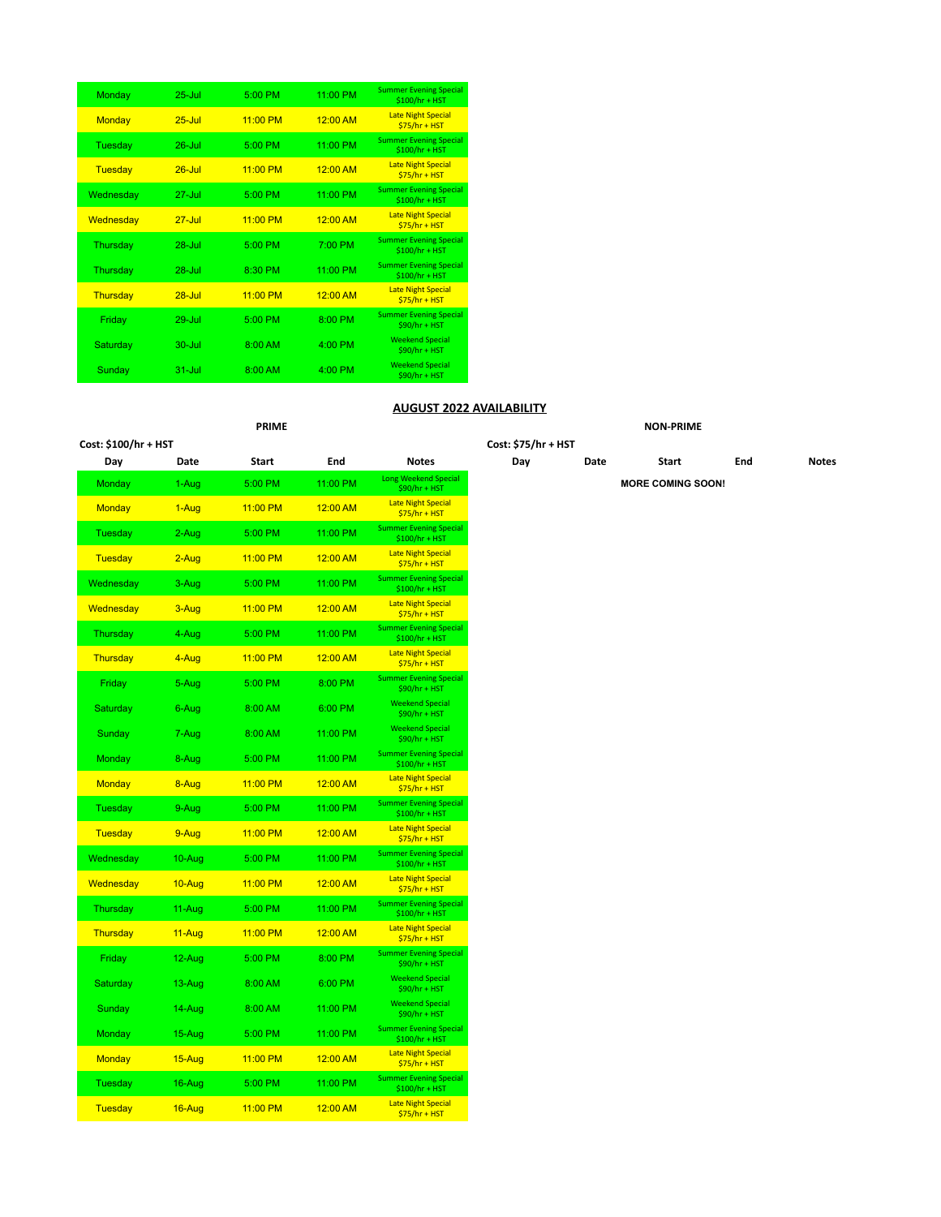| Monday        | $25 -$ Jul | 5:00 PM    | 11:00 PM   | <b>Summer Evening Special</b><br>\$100/hr + HST  |
|---------------|------------|------------|------------|--------------------------------------------------|
| <b>Monday</b> | $25 -$ Jul | $11:00$ PM | 12:00 AM   | <b>Late Night Special</b><br>$$75/hr + HST$      |
| Tuesday       | $26 -$ Jul | 5:00 PM    | 11:00 PM   | <b>Summer Evening Special</b><br>$$100/hr + HST$ |
| Tuesday       | $26 -$ Jul | $11:00$ PM | 12:00 AM   | <b>Late Night Special</b><br>$$75/hr + HST$      |
| Wednesday     | $27 -$ Jul | 5:00 PM    | 11:00 PM   | <b>Summer Evening Special</b><br>\$100/hr + HST  |
| Wednesday     | $27 -$ Jul | $11:00$ PM | 12:00 AM   | <b>Late Night Special</b><br>$$75/hr + HST$      |
| Thursday      | $28 - h  $ | 5:00 PM    | 7:00 PM    | <b>Summer Evening Special</b><br>$$100/hr + HST$ |
| Thursday      | $28 -$ Jul | 8:30 PM    | 11:00 PM   | <b>Summer Evening Special</b><br>\$100/hr + HST  |
| Thursday      | $28 -$ Jul | $11:00$ PM | $12.00$ AM | <b>Late Night Special</b><br>$$75/hr + HST$      |
| Friday        | $29 -$ Jul | 5:00 PM    | 8:00 PM    | <b>Summer Evening Special</b><br>\$90/hr + HST   |
| Saturday      | $30 -$ Jul | $8:00$ AM  | $4:00$ PM  | <b>Weekend Special</b><br>$$90/hr + HST$         |
| Sunday        | $31 -$ Jul | 8:00 AM    | $4:00$ PM  | <b>Weekend Special</b><br>$$90/hr + HST$         |

#### **AUGUST 2022 AVAILABILITY**

# **PRIME NON-PRIME Cost: \$100/hr + HST Cost: \$75/hr + HST Day Date Start End Notes Day Date Start End Notes**  $MORE$  **COMING SOON!**  $$75/hr + HST$  \$100/hr + HST  $$75/hr + HST$ \$100/hr + HST

| Day            | Date   | <b>Start</b> | End      | Notes                                            |
|----------------|--------|--------------|----------|--------------------------------------------------|
| Monday         | 1-Aug  | 5:00 PM      | 11:00 PM | <b>Long Weekend Special</b><br>\$90/hr + HST     |
| <b>Monday</b>  | 1-Aug  | 11:00 PM     | 12:00 AM | <b>Late Night Special</b><br>$$75/hr + HST$      |
| Tuesday        | 2-Aug  | 5:00 PM      | 11:00 PM | <b>Summer Evening Special</b><br>\$100/hr + HST  |
| <b>Tuesday</b> | 2-Aug  | 11:00 PM     | 12:00 AM | <b>Late Night Special</b><br>$$75/hr + HST$      |
| Wednesday      | 3-Aug  | 5:00 PM      | 11:00 PM | <b>Summer Evening Special</b><br>\$100/hr + HST  |
| Wednesday      | 3-Aug  | 11:00 PM     | 12:00 AM | <b>Late Night Special</b><br>$$75/hr + HST$      |
| Thursday       | 4-Aug  | 5:00 PM      | 11:00 PM | <b>Summer Evening Special</b><br>\$100/hr + HST  |
| Thursday       | 4-Aug  | 11:00 PM     | 12:00 AM | <b>Late Night Special</b><br>$$75/hr + HST$      |
| Friday         | 5-Aug  | 5:00 PM      | 8:00 PM  | <b>Summer Evening Special</b><br>\$90/hr + HST   |
| Saturday       | 6-Aug  | 8:00 AM      | 6:00 PM  | <b>Weekend Special</b><br>\$90/hr + HST          |
| Sunday         | 7-Aug  | 8:00 AM      | 11:00 PM | <b>Weekend Special</b><br>\$90/hr + HST          |
| Monday         | 8-Aug  | 5:00 PM      | 11:00 PM | <b>Summer Evening Special</b><br>\$100/hr + HST  |
| <b>Monday</b>  | 8-Aug  | 11:00 PM     | 12:00 AM | <b>Late Night Special</b><br>$$75/hr + HST$      |
| Tuesday        | 9-Aug  | 5:00 PM      | 11:00 PM | <b>Summer Evening Special</b><br>\$100/hr + HST  |
| <b>Tuesday</b> | 9-Aug  | 11:00 PM     | 12:00 AM | <b>Late Night Special</b><br>$$75/hr + HST$      |
| Wednesday      | 10-Aug | 5:00 PM      | 11:00 PM | <b>Summer Evening Special</b><br>$$100/hr + HST$ |
| Wednesday      | 10-Aug | 11:00 PM     | 12:00 AM | <b>Late Night Special</b><br>$$75/hr + HST$      |
| Thursday       | 11-Aug | 5:00 PM      | 11:00 PM | <b>Summer Evening Special</b><br>\$100/hr + HST  |
| Thursday       | 11-Aug | 11:00 PM     | 12:00 AM | <b>Late Night Special</b><br>$$75/hr + HST$      |
| Friday         | 12-Aug | 5:00 PM      | 8:00 PM  | <b>Summer Evening Special</b><br>\$90/hr + HST   |
| Saturday       | 13-Aug | 8:00 AM      | 6:00 PM  | <b>Weekend Special</b><br>\$90/hr + HST          |
| Sunday         | 14-Aug | 8:00 AM      | 11:00 PM | <b>Weekend Special</b><br>\$90/hr + HST          |
| Monday         | 15-Aug | 5:00 PM      | 11:00 PM | <b>Summer Evening Special</b><br>\$100/hr + HST  |
| <b>Monday</b>  | 15-Aug | 11:00 PM     | 12:00 AM | <b>Late Night Special</b><br>$$75/hr + HST$      |
| Tuesday        | 16-Aug | 5:00 PM      | 11:00 PM | <b>Summer Evening Special</b><br>\$100/hr + HST  |
| <b>Tuesday</b> | 16-Aug | 11:00 PM     | 12:00 AM | <b>Late Night Special</b><br>\$75/hr + HST       |